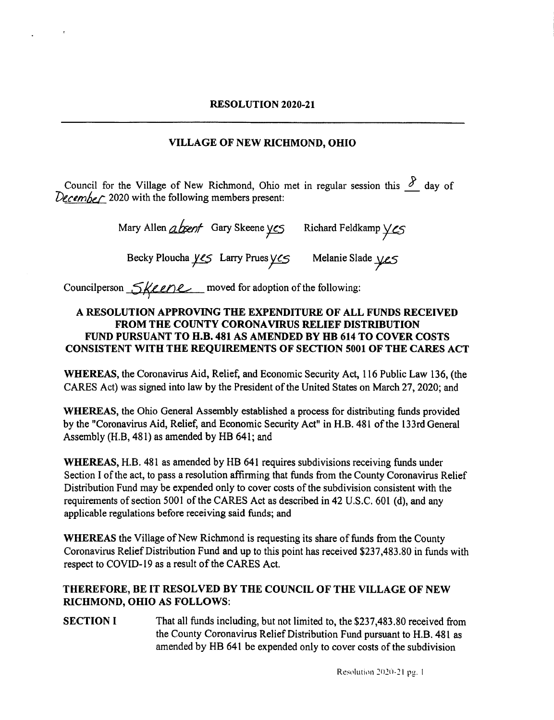# VILLAGE OF NEW RICHMOND, OHIO

Council for the Village of New Richmond, Ohio met in regular session this  $\frac{\partial}{\partial x}$  day of December 2020 with the following members present:

Mary Allen  $\Delta$ bent Gary Skeene yes Richard Feldkamp yes

Becky Ploucha yes Larry Prues yes Melanie Slade yes

Councilperson  $\frac{6}{4}$  energy moved for adoption of the following:

### A RESOLUTION APPROVING THE EXPENDITURE OF ALL FUNDS RECEIVED FROM THE COUNTY CORONAVIRUS RELIEF DISTRIBUTION FUND PURSUANT TO H.B. 481 AS AMENDED BY HB 614 TO COVER COSTS CONSISTENT WITH THE REQUIREMENTS OF SECTION 5001 OF THE CARES ACT

WHEREAS, the Coronavirus Aid, Relief, and Economic Security Act, <sup>116</sup> Public Law 136, ( the CARES Act) was signed into law by the President of the United States on March 27, 2020; and

WHEREAS, the Ohio General Assembly established a process for distributing funds provided by the "Coronavirus Aid, Relief, and Economic Security Act" in H.B. 481 of the 133rd General Assembly( H.B, 481) as amended by HB 641; and

WHEREAS, H.B. 481 as amended by HB 641 requires subdivisions receiving funds under Section I of the act, to pass <sup>a</sup> resolution affirming that funds from the County Coronavirus Relief Distribution Fund may be expended only to cover costs of the subdivision consistent with the requirements of section 5001 of the CARES Act as described in 42 U.S. C. 601 ( d), and any applicable regulations before receiving said funds; and

WHEREAS the Village of New Richmond is requesting its share of funds from the County Coronavirus Relief Distribution Fund and up to this point has received \$237,483.80 in funds with respect to COVID- <sup>19</sup> as <sup>a</sup> result of the CARES Act.

## THEREFORE, BE IT RESOLVED BY THE COUNCIL OF THE VILLAGE OF NEW RICHMOND, OHIO AS FOLLOWS:

SECTION I That all funds including, but not limited to, the \$237,483.80 received from the County Coronavirus Relief Distribution Fund pursuant to H.B. 481 as amended by HB 641 be expended only to cover costs of the subdivision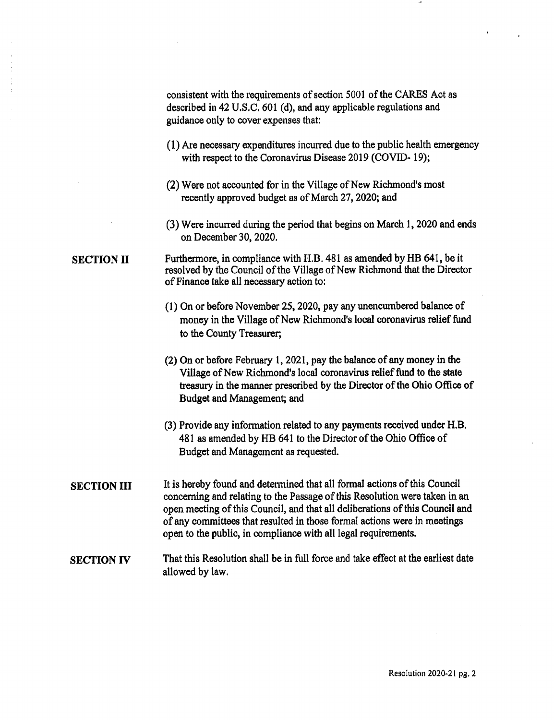consistent with the requirements of section <sup>5001</sup> of the CARES Act as described in 42 U.S.C. 601 (d), and any applicable regulations and guidance only to cover expenses that:

- 1) Are necessary expenditures incurred due to the public health emergency with respect to the Coronavirus Disease 2019 (COVID- 19);
- (2) Were not accounted for in the Village of New Richmond's most recently approved budget as of March 27, 2020; and
- 3) Were incurred during the period that begins on March 1, 2020 and ends on December 30, 2020.

#### SECTION II Furthermore, in compliance with H.B. <sup>481</sup> as amended by HB 641, be it resolved by the Council of the Village of New Richmond that the Director of Finance take all necessary action to:

- 1) On or before November 25, 2020, pay any unencumbered balance of money in the Village of New Richmond's local coronavirus relief fund to the County Treasurer;
- 2) On or before February 1, 2021, pay the balance of any money in the Village of New Richmond's local coronavirus relief fund to the state treasury in the manner prescribed by the Director of the Ohio Office of Budget and Management; and
- 3) Provide any information related to any payments received under H.B. 481 as amended by HB 641 to the Director of the Ohio Office of Budget and Management as requested.
- SECTION III It is hereby found and determined that all formal actions of this Council concerning and relating to the Passage of this Resolution were taken in an open meeting of this Council, and that all deliberations of this Council and of any committees that resulted in those formal actions were in meetings open to the public, in compliance with all legal requirements.

### SECTION IV That this Resolution shall be in full force and take effect at the earliest date allowed by law.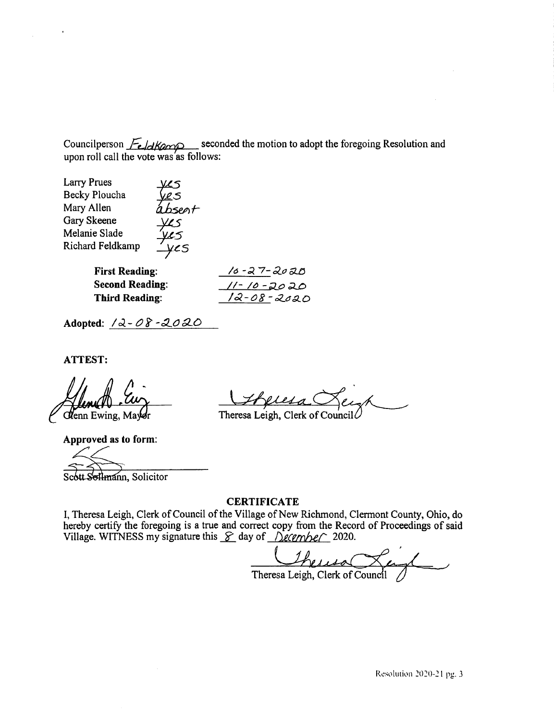Councilperson  $\frac{\sqrt{e}}{\sqrt{2}}$  seconded the motion to adopt the foregoing Resolution and upon roll call the vote was as follows:

| <b>Larry Prues</b>     |       |                   |
|------------------------|-------|-------------------|
| Becky Ploucha          | IL S  |                   |
| Mary Allen             | hspat |                   |
| Gary Skeene            |       |                   |
| Melanie Slade          | VL5   |                   |
| Richard Feldkamp       | VCS   |                   |
|                        |       |                   |
| <b>First Reading:</b>  |       | 10-27-2020        |
| <b>Second Reading:</b> |       | <u>11-10-2020</u> |
| <b>Third Reading:</b>  |       | 12-08-2020        |

Adopted:  $12 - 08 - 2020$ 

**ATTEST:** 

**Clenn** Ewing, Mayor

Approved as to form:

oflmann, Solicitor

Lesa

Theresa Leigh, Clerk of Council

#### **CERTIFICATE**

I, Theresa Leigh, Clerk of Council of the Village of New Richmond, Clermont County, Ohio, do hereby certify the foregoing is a true and correct copy from the Record of Proceedings of said<br>Village. WITNESS my signature this  $\mathcal{S}$  day of  $\mathcal{D}$ ecember 2020.

Theresa Leigh, Clerk of Council